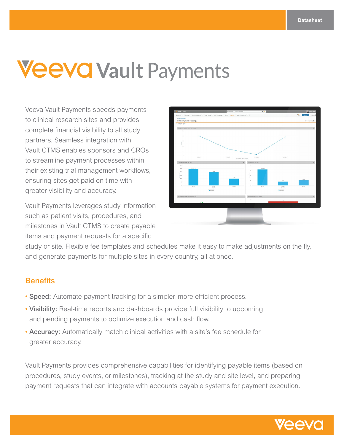# **Veevo Vault Payments**

Veeva Vault Payments speeds payments to clinical research sites and provides complete financial visibility to all study partners. Seamless integration with Vault CTMS enables sponsors and CROs to streamline payment processes within their existing trial management workflows, ensuring sites get paid on time with greater visibility and accuracy.

Vault Payments leverages study information such as patient visits, procedures, and milestones in Vault CTMS to create payable items and payment requests for a specific



study or site. Flexible fee templates and schedules make it easy to make adjustments on the fly, and generate payments for multiple sites in every country, all at once.

### **Benefits**

- Speed: Automate payment tracking for a simpler, more efficient process.
- Visibility: Real-time reports and dashboards provide full visibility to upcoming and pending payments to optimize execution and cash flow.
- Accuracy: Automatically match clinical activities with a site's fee schedule for greater accuracy.

Vault Payments provides comprehensive capabilities for identifying payable items (based on procedures, study events, or milestones), tracking at the study and site level, and preparing payment requests that can integrate with accounts payable systems for payment execution.